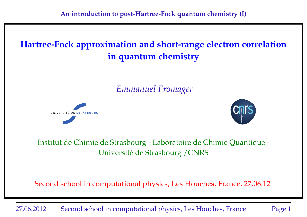# **Hartree-Fock approximation and short-range electron correlation in quantum chemistry**

*Emmanuel Fromager*





## Institut de Chimie de Strasbourg - Laboratoire de Chimie Quantique - Université de Strasbourg /CNRS

Second school in computational physics, Les Houches, France, 27.06.12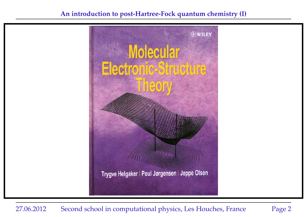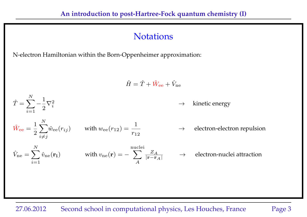## **Notations**

N-electron Hamiltonian within the Born-Oppenheimer approximation:

$$
\hat{H} = \hat{T} + \hat{W}_{ee} + \hat{V}_{ne}
$$
\n
$$
\hat{T} = \sum_{i=1}^{N} -\frac{1}{2} \nabla_i^2
$$
\n
$$
\hat{W}_{ee} = \frac{1}{2} \sum_{i \neq j}^{N} \hat{w}_{ee}(r_{ij})
$$
\nwith  $w_{ee}(r_{12}) = \frac{1}{r_{12}}$ \n
$$
\hat{V}_{ne} = \sum_{i=1}^{N} \hat{v}_{ne}(\mathbf{r}_i)
$$
\nwith  $v_{ne}(\mathbf{r}) = -\sum_{A}^{nuclei} \frac{Z_A}{|\mathbf{r} - \mathbf{r}_A|}$   $\rightarrow$  electron-nuclei attraction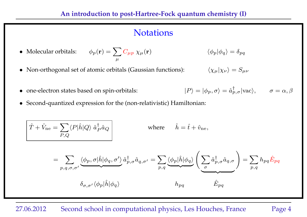## **Notations**

- Molecular orbitals:  $\phi_p({\bf r}) = \sum_\mu C_{\mu p} \; \chi_\mu({\bf r})$  $\langle \phi_p | \phi_q \rangle = \delta_{pq}$
- Non-orthogonal set of atomic orbitals (Gaussian functions):

$$
\langle \chi_{\mu} | \chi_{\nu} \rangle = S_{\mu\nu}
$$

 $\bullet$  one-electron states based on spin-orbitals:

$$
|P\rangle = |\phi_p, \sigma\rangle = \hat{a}^\dagger_{p,\sigma} |\text{vac}\rangle, \qquad \sigma = \alpha, \beta
$$

• Second-quantized expression for the (non-relativistic) Hamiltonian:

$$
\hat{T} + \hat{V}_{\text{ne}} = \sum_{P,Q} \langle P|\hat{h}|Q\rangle \hat{a}_P^{\dagger} \hat{a}_Q
$$
\nwhere\n
$$
\hat{h} = \hat{t} + \hat{v}_{\text{ne}},
$$
\n
$$
= \sum_{p,q,\sigma,\sigma'} \langle \phi_p, \sigma|\hat{h}|\phi_q, \sigma'\rangle \hat{a}_p^{\dagger}, \hat{a}_{q,\sigma'} = \sum_{p,q} \langle \phi_p|\hat{h}|\phi_q\rangle \left(\sum_{\sigma} \hat{a}_{p,\sigma}^{\dagger} \hat{a}_{q,\sigma}\right) = \sum_{p,q} h_{pq} \hat{E}_{pq}
$$
\n
$$
\delta_{\sigma,\sigma'} \langle \phi_p|\hat{h}|\phi_q \rangle
$$
\n
$$
h_{pq}
$$
\n
$$
\hat{E}_{pq}
$$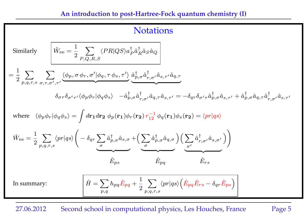## **Notations**

Similarly 
$$
\hat{W}_{ee} = \frac{1}{2} \sum_{P,Q,R,S} \langle PR|QS \rangle a_P^{\dagger} a_R^{\dagger} \hat{a}_S \hat{a}_Q
$$
\n
$$
= \frac{1}{2} \sum_{p,q,r,s} \sum_{\sigma,\tau,\sigma',\tau'} \underbrace{\langle \phi_p, \sigma \phi_r, \sigma' | \phi_q, \tau \phi_s, \tau'}_{\delta_{\sigma\tau}\delta_{\sigma'\tau'} \langle \phi_p \phi_r | \phi_q \phi_s \rangle - \hat{a}_{p,\sigma}^{\dagger} \hat{a}_{p,\sigma}^{\dagger} \hat{a}_{r,\sigma'}^{\dagger} \hat{a}_{s,\tau'} \hat{a}_{s,\tau'} = -\delta_{qr} \delta_{\sigma'\tau} \hat{a}_{p,\sigma}^{\dagger} \hat{a}_{s,\tau'} + \hat{a}_{p,\sigma}^{\dagger} \hat{a}_{q,\tau} \hat{a}_{q,\tau} \hat{a}_{s,\tau'}
$$
\nwhere 
$$
\langle \phi_p \phi_r | \phi_q \phi_s \rangle = \int d\mathbf{r}_1 d\mathbf{r}_2 \ \phi_p(\mathbf{r}_1) \phi_r(\mathbf{r}_2) r_{12}^{-1} \ \phi_q(\mathbf{r}_1) \phi_s(\mathbf{r}_2) = \langle pr | qs \rangle
$$
\n
$$
\hat{W}_{ee} = \frac{1}{2} \sum_{p,q,r,s} \langle pr | qs \rangle \left( -\delta_{qr} \underbrace{\sum_{\sigma} \hat{a}_{p,\sigma}^{\dagger} \hat{a}_{s,\sigma} + \left( \underbrace{\sum_{\sigma} \hat{a}_{p,\sigma}^{\dagger} \hat{a}_{q,\sigma} \right)}_{\sigma} \right) \left( \underbrace{\sum_{\sigma'} \hat{a}_{r,\sigma'}^{\dagger} \hat{a}_{s,\sigma'} \right)}_{\hat{E}_{p,q}} \right)
$$
\nIn summary: 
$$
\hat{H} = \sum_{p,q} h_{pq} \hat{E}_{pq} + \frac{1}{2} \sum_{p,q,r,s} \langle pr | qs \rangle \left( \hat{E}_{pq} \hat{E}_{rs} - \delta_{qr} \hat{E}_{ps} \right)
$$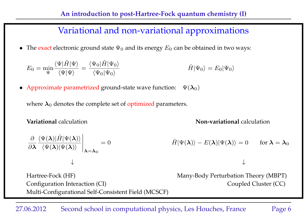## Variational and non-variational approximations

• The exact electronic ground state  $\Psi_0$  and its energy  $E_0$  can be obtained in two ways:

$$
E_0 = \min_{\Psi} \frac{\langle \Psi | \hat{H} | \Psi \rangle}{\langle \Psi | \Psi \rangle} = \frac{\langle \Psi_0 | \hat{H} | \Psi_0 \rangle}{\langle \Psi_0 | \Psi_0 \rangle} \qquad \hat{H} | \Psi_0 \rangle = E_0 | \Psi_0 \rangle
$$

• Approximate parametrized ground-state wave function:  $\Psi(\lambda_0)$ 

where  $\lambda_0$  denotes the complete set of optimized parameters.

**Variational** calculation **Non-variational** calculation

$$
\frac{\partial}{\partial \lambda} \frac{\langle \Psi(\lambda) | \hat{H} | \Psi(\lambda) \rangle}{\langle \Psi(\lambda) | \Psi(\lambda) \rangle} \bigg|_{\lambda = \lambda_0} = 0
$$
\n
$$
\hat{H} | \Psi(\lambda) \rangle - E(\lambda) | \Psi(\lambda) \rangle = 0 \quad \text{for } \lambda = \lambda_0
$$

Hartree-Fock (HF) Many-Body Perturbation Theory (MBPT) Configuration Interaction (CI) Coupled Cluster (CC) Multi-Configurational Self-Consistent Field (MCSCF)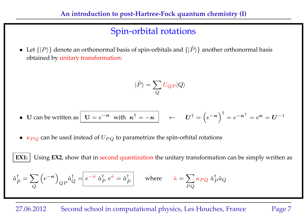# Spin-orbital rotations

• Let  $\{|P\rangle\}$  denote an orthonormal basis of spin-orbitals and  $\{|\tilde{P}\rangle\}$  another orthonormal basis obtained by unitary transformation:

$$
|\tilde{P}\rangle = \sum_{Q} U_{QP} |Q\rangle
$$

- U can be written as  $\boxed{U = e^{-\kappa}}$  with  $\kappa^{\dagger} = -\kappa$   $\boxed{ }$   $\leftarrow$   $U^{\dagger} = \left(e^{-\kappa}\right)^{\dagger} = e^{-\kappa^{\dagger}} = e^{\kappa} = U^{-1}$
- $\kappa_{PQ}$  can be used instead of  $U_{PQ}$  to parametrize the spin-orbital rotations

**EX1:** Using **EX2**, show that in second quantization the unitary transformation can be simply written as  $\hat{a}^\dagger_{\ \hat{r}}$  $_{\tilde{P}}^{\dagger}=\sum% \begin{pmatrix} \tilde{P}_{11} & \tilde{P}_{12}\\ \tilde{P}_{21} & \tilde{P}_{22}% \end{pmatrix} \begin{pmatrix} \tilde{P}_{11} & \tilde{P}_{12}% \end{pmatrix} \begin{pmatrix} \tilde{P}_{11} & \tilde{P}_{12}% \end{pmatrix} \begin{pmatrix} \tilde{P}_{11} & \tilde{P}_{12}% \end{pmatrix}$  $\pmb Q$  $(e^{-\kappa})$  $QP$  $\hat{a}^\dagger_{\cal C}$  $_{Q}^{\dagger}=\stackrel{~}{e^{-\hat{\kappa}}}\hat{a}_{P}^{\dagger}$  $\stackrel{\dagger}{P}e^{\hat{\kappa}}=\hat{a}^{\dagger}_{\hat{I}}$  $\hat{P}$  where  $\hat{\kappa} = \sum$  $PQ$  $\kappa_{PQ} \; \hat{a}^{\dagger}_{I}$  $_P^\dagger \hat{a}_Q$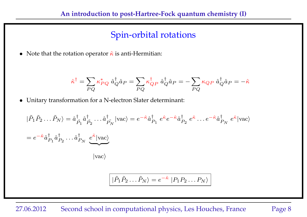## Spin-orbital rotations

• Note that the rotation operator  $\hat{\kappa}$  is anti-Hermitian:

$$
\hat{\kappa}^{\dagger}=\sum_{PQ}\kappa_{PQ}^*\;\hat{a}_{Q}^{\dagger}\hat{a}_{P}=\sum_{PQ}\kappa_{QP}^{\dagger}\;\hat{a}_{Q}^{\dagger}\hat{a}_{P}=-\sum_{PQ}\kappa_{QP}\;\hat{a}_{Q}^{\dagger}\hat{a}_{P}=-\hat{\kappa}
$$

• Unitary transformation for a N-electron Slater determinant:

$$
|\tilde{P}_1 \tilde{P}_2 \dots \tilde{P}_N\rangle = \hat{a}_{\tilde{P}_1}^{\dagger} \hat{a}_{\tilde{P}_2}^{\dagger} \dots \hat{a}_{\tilde{P}_N}^{\dagger} |\text{vac}\rangle = e^{-\hat{\kappa}} \hat{a}_{P_1}^{\dagger} e^{\hat{\kappa}} e^{-\hat{\kappa}} \hat{a}_{P_2}^{\dagger} e^{\hat{\kappa}} \dots e^{-\hat{\kappa}} \hat{a}_{P_N}^{\dagger} e^{\hat{\kappa}} |\text{vac}\rangle
$$
  
\n
$$
= e^{-\hat{\kappa}} \hat{a}_{P_1}^{\dagger} \hat{a}_{P_2}^{\dagger} \dots \hat{a}_{P_N}^{\dagger} e^{\hat{\kappa}} |\text{vac}\rangle
$$
  
\n
$$
|\text{vac}\rangle
$$

$$
\left| \tilde{P}_1 \tilde{P}_2 \dots \tilde{P}_N \right\rangle = e^{-\hat{\kappa}} \left| P_1 P_2 \dots P_N \right\rangle
$$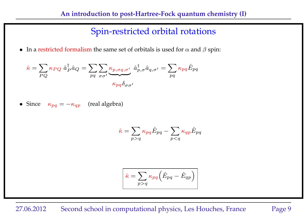## Spin-restricted orbital rotations

• In a restricted formalism the same set of orbitals is used for  $\alpha$  and  $\beta$  spin:

$$
\hat{\kappa} = \sum_{PQ} \kappa_{PQ} \hat{a}_P^{\dagger} \hat{a}_Q = \sum_{pq} \sum_{\sigma\sigma'} \underbrace{\kappa_{p,\sigma q,\sigma'}}_{\kappa_{pq} \delta_{\sigma\sigma'}} \hat{a}_{p,\sigma}^{\dagger} \hat{a}_{q,\sigma'} = \sum_{pq} \kappa_{pq} \hat{E}_{pq}
$$

• Since 
$$
\kappa_{pq} = -\kappa_{qp}
$$
 (real algebra)

$$
\hat{\kappa} = \sum_{p>q} \kappa_{pq} \hat{E}_{pq} - \sum_{p
$$

$$
\hat{\kappa} = \sum_{p>q} \kappa_{pq} (\hat{E}_{pq} - \hat{E}_{qp})
$$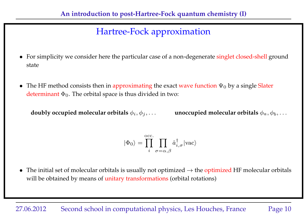- For simplicity we consider here the particular case of a non-degenerate singlet closed-shell ground state
- The HF method consists then in approximating the exact wave function  $\Psi_0$  by a single Slater determinant  $\Phi_0$ . The orbital space is thus divided in two:

**doubly occupied molecular orbitals**  $\phi_i, \phi_j, \ldots$  **unoccupied molecular orbitals**  $\phi_a, \phi_b, \ldots$ 

$$
|\Phi_0\rangle = \prod_{i}^{\mathrm{occ.}} \prod_{\sigma=\alpha,\beta} \hat{a}^{\dagger}_{i,\sigma} |\mathrm{vac}\rangle
$$

• The initial set of molecular orbitals is usually not optimized  $\rightarrow$  the optimized HF molecular orbitals will be obtained by means of unitary transformations (orbital rotations)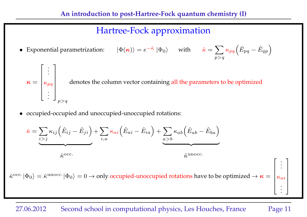$p>q$ 

• Exponential parametrization:  $|\Phi(\kappa)\rangle = e^{-\hat{\kappa}} |\Phi_0\rangle$  with  $\hat{\kappa} = \sum$  $\kappa_{pq}\Big(\hat{E}_{pq}-\hat{E}_{qp}\Big)$ 

$$
\kappa = \begin{bmatrix} \vdots \\ \kappa_{pq} \\ \vdots \end{bmatrix}_{p>q}
$$
 denotes the column vector containing all the parameters to be optimized

• occupied-occupied and unoccupied-unoccupied rotations:

$$
\hat{\kappa} = \sum_{i > j} \kappa_{ij} (\hat{E}_{ij} - \hat{E}_{ji}) + \sum_{i,a} \kappa_{ai} (\hat{E}_{ai} - \hat{E}_{ia}) + \sum_{a > b} \kappa_{ab} (\hat{E}_{ab} - \hat{E}_{ba})
$$
  

$$
\hat{\kappa}^{occ.}
$$

 $\hat\kappa^{\rm occ.}|\Phi_0\rangle=\hat\kappa^{\rm unocc.}|\Phi_0\rangle=0\to$  only occupied-unoccupied rotations have to be optimized  $\to\bm\kappa=0$  $\overline{1}$  $\left| \right|$  $\left| \right|$  $\left| \right|$  $\kappa_{ai}$ 

#### 27.06.2012 Second school in computational physics, Les Houches, France Page 11

 $\sqrt{ }$ 

. . . 1

 $\left| \right|$  $\perp$  $\vert$  $\overline{1}$  $\vert$ 

. . .

 $\overline{1}$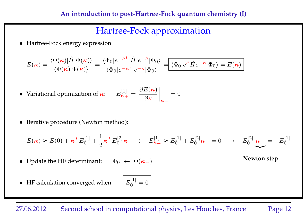• Hartree-Fock energy expression:

$$
E(\boldsymbol{\kappa}) = \frac{\langle \Phi(\boldsymbol{\kappa}) | \hat{H} | \Phi(\boldsymbol{\kappa}) \rangle}{\langle \Phi(\boldsymbol{\kappa}) | \Phi(\boldsymbol{\kappa}) \rangle} = \frac{\langle \Phi_0 | e^{-\hat{\kappa}^\dagger} \hat{H} \ e^{-\hat{\kappa}} | \Phi_0 \rangle}{\langle \Phi_0 | e^{-\hat{\kappa}^\dagger} \ e^{-\hat{\kappa}} | \Phi_0 \rangle} = \boxed{\langle \Phi_0 | e^{\hat{\kappa}} \hat{H} e^{-\hat{\kappa}} | \Phi_0 \rangle = E(\boldsymbol{\kappa})}
$$

- Variational optimization of  $\kappa$ : [1]  $\frac{\kappa_+}{\kappa_+}=$  $\partial E(\boldsymbol{\kappa})$  $\partial$ κ  $\overline{\phantom{a}}$  $\Big\}$  $\Big\}$  $\mathsf{R}_+$  $= 0$
- Iterative procedure (Newton method):

$$
E(\boldsymbol{\kappa}) \approx E(0) + \boldsymbol{\kappa}^T E_0^{[1]} + \frac{1}{2} \boldsymbol{\kappa}^T E_0^{[2]} \boldsymbol{\kappa} \rightarrow E_{\boldsymbol{\kappa}_+}^{[1]} \approx E_0^{[1]} + E_0^{[2]} \boldsymbol{\kappa}_+ = 0 \rightarrow E_0^{[2]} \underbrace{\boldsymbol{\kappa}_+}_{\boldsymbol{\kappa}_+} = -E_0^{[1]}
$$

• Update the HF determinant:  $\Phi_0 \leftarrow \Phi(\kappa_+)$  Newton step

 $\bullet$  HF calculation converged when

$$
\boxed{E_0^{[1]}=0}
$$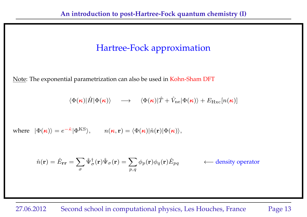Note: The exponential parametrization can also be used in Kohn-Sham DFT

$$
\langle \Phi(\mathbf{\kappa}) | \hat{H} | \Phi(\mathbf{\kappa}) \rangle \quad \longrightarrow \quad \langle \Phi(\mathbf{\kappa}) | \hat{T} + \hat{V}_{\text{ne}} | \Phi(\mathbf{\kappa}) \rangle + E_{\text{Hxc}}[n(\mathbf{\kappa})]
$$

where 
$$
|\Phi(\kappa)\rangle = e^{-\hat{\kappa}} |\Phi^{KS}\rangle
$$
,  $n(\kappa, r) = \langle \Phi(\kappa)|\hat{n}(r)|\Phi(\kappa)\rangle$ ,

$$
\hat{n}(\mathbf{r}) = \hat{E}_{\mathbf{r}\mathbf{r}} = \sum_{\sigma} \hat{\Psi}_{\sigma}^{\dagger}(\mathbf{r}) \hat{\Psi}_{\sigma}(\mathbf{r}) = \sum_{p,q} \phi_p(\mathbf{r}) \phi_q(\mathbf{r}) \hat{E}_{pq} \qquad \longleftarrow \text{density operator}
$$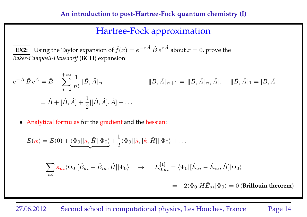**EX2:** Using the Taylor expansion of  $\hat{f}(x) = e^{-x\hat{A}} \hat{B} e^{x\hat{A}}$  about  $x = 0$ , prove the *Baker-Campbell-Hausdorff* (BCH) expansion:

$$
e^{-\hat{A}}\,\hat{B}\,e^{\hat{A}} = \hat{B} + \sum_{n=1}^{+\infty} \frac{1}{n!} \, [\hat{B}, \hat{A}]_n
$$
\n
$$
[\hat{B}, \hat{A}]_{n+1} = [[\hat{B}, \hat{A}]_n, \hat{A}], \quad [\hat{B}, \hat{A}]_1 = [\hat{B}, \hat{A}]_n
$$
\n
$$
= \hat{B} + [\hat{B}, \hat{A}] + \frac{1}{2} [[\hat{B}, \hat{A}], \hat{A}] + \dots
$$

• Analytical formulas for the gradient and the hessian:

$$
E(\kappa) = E(0) + \underbrace{\langle \Phi_0 | [\hat{\kappa}, \hat{H}] | \Phi_0 \rangle}_{ai} + \frac{1}{2} \langle \Phi_0 | [\hat{\kappa}, [\hat{\kappa}, \hat{H}] ] | \Phi_0 \rangle + \dots
$$
\n
$$
\sum_{ai} \kappa_{ai} \langle \Phi_0 | [\hat{E}_{ai} - \hat{E}_{ia}, \hat{H}] | \Phi_0 \rangle \rightarrow E_{0,ai}^{[1]} = \langle \Phi_0 | [\hat{E}_{ai} - \hat{E}_{ia}, \hat{H}] | \Phi_0 \rangle
$$
\n
$$
= -2 \langle \Phi_0 | \hat{H} \hat{E}_{ai} | \Phi_0 \rangle = 0 \text{ (Brillouin theorem)}
$$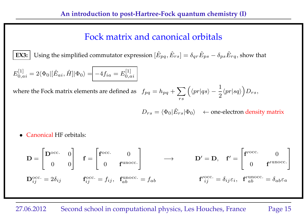## Fock matrix and canonical orbitals

**EX3:** Using the simplified commutator expression  $[\hat{E}_{pq}, \hat{E}_{rs}] = \delta_{qr}\hat{E}_{ps} - \delta_{ps}\hat{E}_{rq}$ , show that

$$
E_{0,ai}^{[1]} = 2\langle \Phi_0 | [\hat{E}_{ai}, \hat{H}] | \Phi_0 \rangle = -4f_{ia} = E_{0,ai}^{[1]}
$$

where the Fock matrix elements are defined as  $f_{pq} = h_{pq} + \sum$ rs  $\int \langle p r | q s \rangle - \frac{1}{2}$ 2  $\langle pr|sq\rangle D_{rs},$ 

 $D_{rs} = \langle \Phi_0 | \hat{E}_{rs} | \Phi_0 \rangle$  ← one-electron density matrix

• Canonical HF orbitals:

 $\mathbf{D} =$  $\sqrt{ }$  $\overline{1}$  $\mathbf{D}^{\rm occ.} = 0$ 0 0 1  $\vert \quad \mathbf{f} =$  $\sqrt{ }$  $\overline{1}$  ${\bf f}^{\rm occ.}$  0  $0$  f<sup>unocc.</sup> 1  $\mathbf{D}' = \mathbf{D}, \quad \mathbf{f}' =$  $\sqrt{ }$  $\overline{1}$  $f^{\prime\text{occ.}}$  0  $0 \qquad \mathbf{f}'^{\text{unocc.}}$ 1  $\vert$  $\mathbf{D}_{ij}^{\text{occ.}} = 2\delta_{ij}$   $\mathbf{f}_{ij}^{\text{occ.}} = f_{ij}, \ \ \mathbf{f}_{ab}^{\text{unocc.}}$  ${\bf f}^{\prime {\rm occ.}}_{{\ \, \, ab}} = f_{ab} \hspace{1in} {\bf f}^{\prime {\rm occ.}}_{{\ \, \, ij}} = \delta_{ij} \varepsilon_i, \hspace{0.3in} {\bf f}^{\prime {\rm unocc.}}_{{\ \, \, ab}} = \delta_{ab} \varepsilon_a$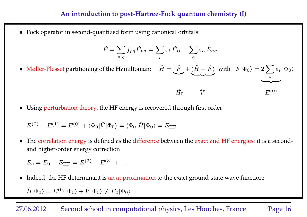• Fock operator in second-quantized form using canonical orbitals:

$$
\hat{F} = \sum_{p,q} f_{pq} \hat{E}_{pq} = \sum_{i} \varepsilon_i \hat{E}_{ii} + \sum_{a} \varepsilon_a \hat{E}_{aa}
$$

- Møller-Plesset partitioning of the Hamiltonian:  $\hat{H} = \frac{\hat{F}}{F}$  $\sim$  $+$   $(\hat{H} - \hat{F})$  $\overline{\phantom{a}}$ with  $\hat{F}|\Phi_0\rangle = 2\sum$ i  $\varepsilon_i\ket{\Phi_0}$  $\overline{\phantom{a}}$  $\hat{H}_0 \qquad \hat{V} \qquad E^{(0)}$
- Using perturbation theory, the HF energy is recovered through first order:

$$
E^{(0)} + E^{(1)} = E^{(0)} + \langle \Phi_0 | \hat{V} | \Phi_0 \rangle = \langle \Phi_0 | \hat{H} | \Phi_0 \rangle = E_{\text{HF}}
$$

• The correlation energy is defined as the difference between the exact and HF energies: it is a secondand higher-order energy correction

$$
E_c = E_0 - E_{\rm HF} = E^{(2)} + E^{(3)} + \dots
$$

• Indeed, the HF determinant is an approximation to the exact ground-state wave function:

 $\hat{H}|\Phi_0\rangle = E^{(0)}|\Phi_0\rangle + \hat{V}|\Phi_0\rangle \neq E_0|\Phi_0\rangle$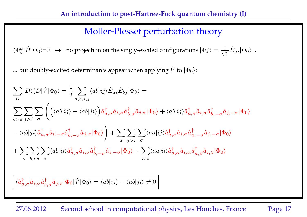## Møller-Plesset perturbation theory

 $\langle \Phi_i^a | \hat{H} | \Phi_0 \rangle = 0 \rightarrow$  no projection on the singly-excited configurations  $| \Phi_i^a \rangle = \frac{1}{\sqrt{2\pi}}$  $\frac{1}{2}\hat{E}_{ai}|\Phi_{0}\rangle$  ...

... but doubly-excited determinants appear when applying  $\hat{V}$  to  $|\Phi_0\rangle$ :

$$
\sum_{D} |D\rangle\langle D|\hat{V}|\Phi_{0}\rangle = \frac{1}{2} \sum_{a,b,i,j} \langle ab|ij\rangle \hat{E}_{ai} \hat{E}_{bj}|\Phi_{0}\rangle =
$$
\n
$$
\sum_{b>a} \sum_{j>i} \sum_{\sigma} \left( \left( \langle ab|ij\rangle - \langle ab|ji\rangle \right) \hat{a}^{\dagger}_{a,\sigma} \hat{a}_{i,\sigma} \hat{a}^{\dagger}_{b,\sigma} \hat{a}_{j,\sigma} |\Phi_{0}\rangle + \langle ab|ij\rangle \hat{a}^{\dagger}_{a,\sigma} \hat{a}_{i,\sigma} \hat{a}^{\dagger}_{b,-\sigma} \hat{a}_{j,-\sigma} |\Phi_{0}\rangle \right.
$$
\n
$$
- \langle ab|ji\rangle \hat{a}^{\dagger}_{a,\sigma} \hat{a}_{i,-\sigma} \hat{a}^{\dagger}_{b,-\sigma} \hat{a}_{j,\sigma} |\Phi_{0}\rangle \right) + \sum_{a} \sum_{j>i} \sum_{\sigma} \langle aa|ij\rangle \hat{a}^{\dagger}_{a,\sigma} \hat{a}_{i,\sigma} \hat{a}^{\dagger}_{a,-\sigma} \hat{a}_{j,-\sigma} |\Phi_{0}\rangle
$$
\n
$$
+ \sum_{i} \sum_{b>a} \sum_{\sigma} \langle ab|ii\rangle \hat{a}^{\dagger}_{a,\sigma} \hat{a}_{i,\sigma} \hat{a}^{\dagger}_{b,-\sigma} \hat{a}_{i,-\sigma} |\Phi_{0}\rangle + \sum_{a,i} \langle aa|ii\rangle \hat{a}^{\dagger}_{a,\alpha} \hat{a}_{i,\alpha} \hat{a}^{\dagger}_{a,\beta} \hat{a}_{i,\beta} |\Phi_{0}\rangle
$$

 $\langle \hat{a}^{\dagger}_{a,\sigma} \hat{a}_{i,\sigma} \hat{a}^{\dagger}_{b,\sigma} \hat{a}_{j,\sigma} | \Phi_0 | \hat{V} | \Phi_0 \rangle = \langle ab | i j \rangle - \langle ab | j i \rangle \neq 0$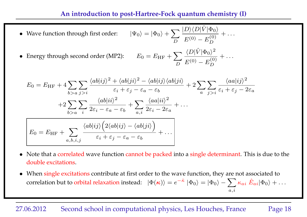#### **An introduction to post-Hartree-Fock quantum chemistry (I)**

• Wave function through first order:  $\sum$ D  $|D\rangle\langle D|\hat{V}|\Phi_0\rangle$  $E^{(0)} - E_D^{(0)}$ D  $+ \ldots$ 

• Energy through second order (MP2): 
$$
E_0 = E_{\text{HF}} + \sum_{D} \frac{\langle D | \hat{V} | \Phi_0 \rangle^2}{E^{(0)} - E_D^{(0)}} + \dots
$$

$$
E_0 = E_{\text{HF}} + 4 \sum_{b>a} \sum_{j>i} \frac{\langle ab|ij\rangle^2 + \langle ab|ji\rangle^2 - \langle ab|ij\rangle\langle ab|ji\rangle}{\varepsilon_i + \varepsilon_j - \varepsilon_a - \varepsilon_b} + 2 \sum_a \sum_{j>i} \frac{\langle aa|ij\rangle^2}{\varepsilon_i + \varepsilon_j - 2\varepsilon_a}
$$

$$
+ 2 \sum_{b>a} \sum_i \frac{\langle ab|ii\rangle^2}{2\varepsilon_i - \varepsilon_a - \varepsilon_b} + \sum_{a,i} \frac{\langle aa|ii\rangle^2}{2\varepsilon_i - 2\varepsilon_a} + \dots
$$

$$
E_0 = E_{\text{HF}} + \sum_{a,b,i,j} \frac{\langle ab|ij\rangle \Big(2\langle ab|ij\rangle - \langle ab|ji\rangle\Big)}{\varepsilon_i + \varepsilon_j - \varepsilon_a - \varepsilon_b} + \dots
$$

- Note that a correlated wave function cannot be packed into a single determinant. This is due to the double excitations.
- When single excitations contribute at first order to the wave function, they are not associated to correlation but to orbital relaxation instead:  $|\Phi(\bm{\kappa})\rangle=e^{-\hat{\kappa}}~|\Phi_0\rangle=|\Phi_0\rangle-\sum\kappa_{ai}~\hat{E}_{ai}|\Phi_0\rangle+\dots$  $a,i$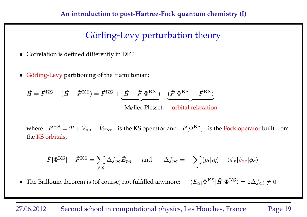# Görling-Levy perturbation theory

- Correlation is defined differently in DFT
- Görling-Levy partitioning of the Hamiltonian:

$$
\hat{H} = \hat{F}^{\text{KS}} + (\hat{H} - \hat{F}^{\text{KS}}) = \hat{F}^{\text{KS}} + \underbrace{(\hat{H} - \hat{F}[\Phi^{\text{KS}}])}_{\text{Møller-Plesset}} + \underbrace{(\hat{F}[\Phi^{\text{KS}}] - \hat{F}^{\text{KS}})}_{\text{orbital relaxation}}
$$

where  $\hat{F}^{\text{KS}} = \hat{T} + \hat{V}_{\text{ne}} + \hat{V}_{\text{Hxc}}$  is the KS operator and  $\hat{F}[\Phi^{\text{KS}}]$  is the Fock operator built from the KS orbitals,

$$
\hat{F}[\Phi^{\text{KS}}] - \hat{F}^{\text{KS}} = \sum_{p,q} \Delta f_{pq} \hat{E}_{pq} \quad \text{and} \quad \Delta f_{pq} = -\sum_{i} \langle pi | iq \rangle - \langle \phi_p | \hat{v}_{\text{xc}} | \phi_q \rangle
$$

• The Brillouin theorem is (of course) not fulfilled anymore:  $\langle \hat{E}_{ai} \Phi^{KS} | \hat{H} | \Phi^{KS} \rangle = 2 \Delta f_{ai} \neq 0$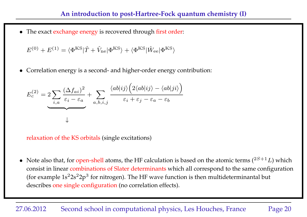• The exact exchange energy is recovered through first order:

$$
E^{(0)} + E^{(1)} = \langle \Phi^{\text{KS}} | \hat{T} + \hat{V}_{\text{ne}} | \Phi^{\text{KS}} \rangle + \langle \Phi^{\text{KS}} | \hat{W}_{\text{ee}} | \Phi^{\text{KS}} \rangle
$$

• Correlation energy is a second- and higher-order energy contribution:

$$
E_c^{(2)} = 2 \sum_{i,a} \frac{(\Delta f_{ai})^2}{\varepsilon_i - \varepsilon_a} + \sum_{a,b,i,j} \frac{\langle ab|ij \rangle \Big( 2 \langle ab|ij \rangle - \langle ab|ji \rangle \Big)}{\varepsilon_i + \varepsilon_j - \varepsilon_a - \varepsilon_b}
$$

relaxation of the KS orbitals (single excitations)

• Note also that, for open-shell atoms, the HF calculation is based on the atomic terms  $(^{2S+1}L)$  which consist in linear combinations of Slater determinants which all correspond to the same configuration (for example  $1s^22s^22p^3$  for nitrogen). The HF wave function is then multideterminantal but describes one single configuration (no correlation effects).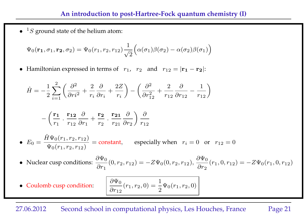•  ${}^{1}S$  ground state of the helium atom:

$$
\Psi_0(\mathbf{r}_1, \sigma_1, \mathbf{r}_2, \sigma_2) = \Psi_0(r_1, r_2, r_{12}) \frac{1}{\sqrt{2}} \Big( \alpha(\sigma_1) \beta(\sigma_2) - \alpha(\sigma_2) \beta(\sigma_1) \Big)
$$

• Hamiltonian expressed in terms of  $r_1$ ,  $r_2$  and  $r_{12} = |\mathbf{r_1} - \mathbf{r_2}|$ :

$$
\hat{H} = -\frac{1}{2} \sum_{i=1}^{2} \left( \frac{\partial^2}{\partial r_i^2} + \frac{2}{r_i} \frac{\partial}{\partial r_i} + \frac{2Z}{r_i} \right) - \left( \frac{\partial^2}{\partial r_{12}^2} + \frac{2}{r_{12}} \frac{\partial}{\partial r_{12}} - \frac{1}{r_{12}} \right)
$$
\n
$$
- \left( \frac{\mathbf{r}_1}{r_1} \cdot \frac{\mathbf{r}_{12}}{r_{12}} \frac{\partial}{\partial r_1} + \frac{\mathbf{r}_2}{r_2} \cdot \frac{\mathbf{r}_{21}}{r_{21}} \frac{\partial}{\partial r_2} \right) \frac{\partial}{r_{12}}
$$
\n•  $E_0 = \frac{\hat{H} \Psi_0(r_1, r_2, r_{12})}{\Psi_0(r_1, r_2, r_{12})} = \text{constant}, \quad \text{especially when } r_i = 0 \text{ or } r_{12} = 0$ \n• Nuclear cusp conditions:  $\frac{\partial \Psi_0}{\partial r_1}(0, r_2, r_{12}) = -Z\Psi_0(0, r_2, r_{12}), \frac{\partial \Psi_0}{\partial r_2}(r_1, 0, r_{12}) = -Z\Psi_0(r_1, 0, r_{12})$ \n• Coulomb cusp condition:  $\left[ \frac{\partial \Psi_0}{\partial r_{12}}(r_1, r_2, 0) = \frac{1}{2}\Psi_0(r_1, r_2, 0) \right]$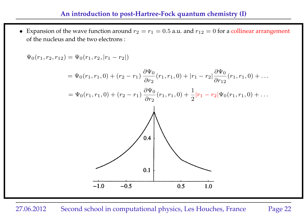• Expansion of the wave function around  $r_2 = r_1 = 0.5$  a.u. and  $r_{12} = 0$  for a collinear arrangement of the nucleus and the two electrons :

 $\Psi_0(r_1, r_2, r_{12}) = \Psi_0(r_1, r_2, |r_1 - r_2|)$ 

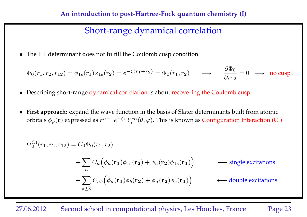## Short-range dynamical correlation

• The HF determinant does not fulfill the Coulomb cusp condition:

$$
\Phi_0(r_1, r_2, r_{12}) = \phi_{1s}(r_1)\phi_{1s}(r_2) = e^{-\zeta(r_1 + r_2)} = \Phi_0(r_1, r_2) \qquad \longrightarrow \qquad \frac{\partial \Phi_0}{\partial r_{12}} = 0 \quad \longrightarrow \quad \text{no cusp!}
$$

- Describing short-range dynamical correlation is about recovering the Coulomb cusp
- **First approach:** expand the wave function in the basis of Slater determinants built from atomic orbitals  $\phi_p(\mathbf{r})$  expressed as  $r^{n-1}e^{-\zeta r}Y_l^m$  $\mathcal{L}^m_l(\theta,\varphi)$ . This is known as Configuration Interaction (CI)

$$
\Psi_0^{\text{CI}}(r_1, r_2, r_{12}) = C_0 \Phi_0(r_1, r_2)
$$
\n
$$
+ \sum_a C_a \Big( \phi_a(\mathbf{r_1}) \phi_{1s}(\mathbf{r_2}) + \phi_a(\mathbf{r_2}) \phi_{1s}(\mathbf{r_1}) \Big) \qquad \leftarrow \text{single excitations}
$$
\n
$$
+ \sum_{a \le b} C_{ab} \Big( \phi_a(\mathbf{r_1}) \phi_b(\mathbf{r_2}) + \phi_a(\mathbf{r_2}) \phi_b(\mathbf{r_1}) \Big) \qquad \leftarrow \text{double excitations}
$$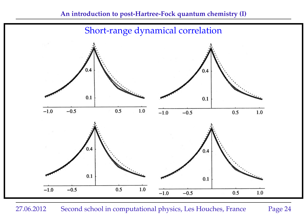

27.06.2012 Second school in computational physics, Les Houches, France Page 24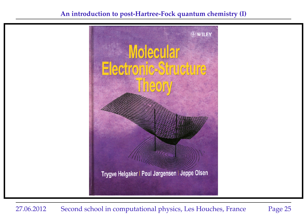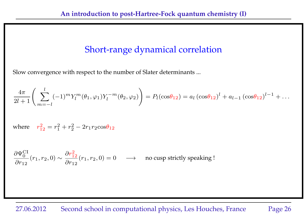## Short-range dynamical correlation

Slow convergence with respect to the number of Slater determinants ...

$$
\frac{4\pi}{2l+1} \left( \sum_{m=-l}^{l} (-1)^m Y_l^m(\theta_1, \varphi_1) Y_l^{-m}(\theta_2, \varphi_2) \right) = P_l(\cos\theta_{12}) = a_l (\cos\theta_{12})^l + a_{l-1} (\cos\theta_{12})^{l-1} + \dots
$$

where  $r_{12}^2 = r_1^2$  $_1^2 + r_2^2$  $\frac{2}{2} - 2r_1r_2\cos\theta_{12}$ 

$$
\frac{\partial \Psi_0^{\text{CI}}}{\partial r_{12}}(r_1, r_2, 0) \sim \frac{\partial r_{12}^2}{\partial r_{12}}(r_1, r_2, 0) = 0 \quad \longrightarrow \quad \text{no cusp strictly speaking }!
$$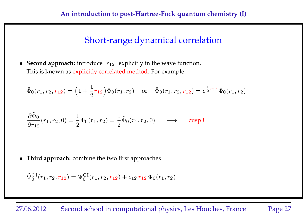## Short-range dynamical correlation

• **Second approach:** introduce  $r_{12}$  explicitly in the wave function. This is known as explicitly correlated method. For example:

 $\tilde{\Phi}_0(r_1, r_2, r_{12}) = \Bigl( 1 \, + \,$ 1 2  $\big(\tau_{12}\big) \Phi_0(r_1,r_2) \quad \text{ or } \quad \tilde\Phi_0(r_1,r_2,r_{12}) = e^{\tfrac{1}{2} \tau}$  $\frac{1}{2}r_{12}\Phi_{0}(r_{1},r_{2})$ 

$$
\frac{\partial \tilde{\Phi}_0}{\partial r_{12}}(r_1, r_2, 0) = \frac{1}{2} \Phi_0(r_1, r_2) = \frac{1}{2} \tilde{\Phi}_0(r_1, r_2, 0) \longrightarrow \text{cusp}!
$$

• **Third approach:** combine the two first approaches

$$
\tilde{\Psi}_0^{\text{CI}}(r_1, r_2, r_{12}) = \Psi_0^{\text{CI}}(r_1, r_2, r_{12}) + c_{12} r_{12} \Phi_0(r_1, r_2)
$$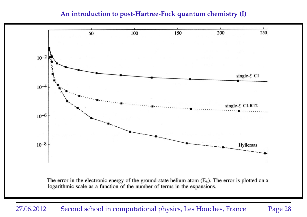#### **An introduction to post-Hartree-Fock quantum chemistry (I)**



The error in the electronic energy of the ground-state helium atom  $(E_h)$ . The error is plotted on a logarithmic scale as a function of the number of terms in the expansions.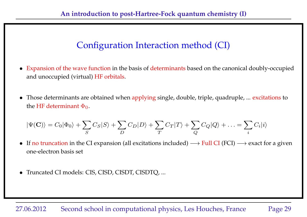- Expansion of the wave function in the basis of determinants based on the canonical doubly-occupied and unoccupied (virtual) HF orbitals.
- Those determinants are obtained when applying single, double, triple, quadruple, ... excitations to the HF determinant  $\Phi_0$ .

$$
|\Psi(\mathbf{C})\rangle = C_0|\Phi_0\rangle + \sum_S C_S|S\rangle + \sum_D C_D|D\rangle + \sum_T C_T|T\rangle + \sum_Q C_Q|Q\rangle + \dots = \sum_i C_i|i\rangle
$$

- If no truncation in the CI expansion (all excitations included)  $\longrightarrow$  Full CI (FCI)  $\longrightarrow$  exact for a given one-electron basis set
- Truncated CI models: CIS, CISD, CISDT, CISDTQ, ...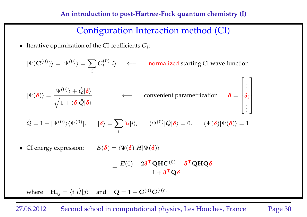• Iterative optimization of the CI coefficients  $C_i$ :

 $|\Psi(\mathbf{C}^{(0)})\rangle = |\Psi^{(0)}\rangle = \sum_{\alpha} \hat{p}^{\alpha\beta}$ i  $C_i^{(0)}$  $\langle i^{(0)}_i | i \rangle$  ← normalized starting CI wave function  $|\Psi(\bm{\delta})\rangle = % -\sum_{i=1}^N\left(\sum_{j=1}^N\delta_j\right)\left(\sum_{j=1}^N\delta_j\right)^2\left(\sum_{j=1}^N\delta_j\right)^2\left(\sum_{j=1}^N\delta_j\right)^2\left(\sum_{j=1}^N\delta_j\right)^2. \label{eq:psi_1}$  $|\Psi^{(0)}\rangle + \hat{Q}|\pmb{\delta}\rangle$  $\sqrt{1 + \langle \delta | \hat{Q} | \delta \rangle}$  $\longleftarrow$  convenient parametrization  $\delta =$  $\sqrt{ }$  $\overline{1}$  $\overline{\phantom{a}}$  $\overline{1}$  $\overline{\phantom{a}}$ . . .  $\delta_i$ . ׀  $\vert$  $\vert$  $\vert$  $\overline{1}$ 

$$
\hat{Q} = 1 - |\Psi^{(0)}\rangle\langle\Psi^{(0)}|, \qquad |\delta\rangle = \sum_{i} \delta_{i} |i\rangle, \qquad \langle\Psi^{(0)}|\hat{Q}|\delta\rangle = 0, \qquad \langle\Psi(\delta)|\Psi(\delta)\rangle = 1
$$

• CI energy expression:  $E(\delta) = \langle \Psi(\delta) | \hat{H} | \Psi(\delta) \rangle$ 

$$
= \frac{E(0)+2\pmb\delta^{\rm T}{\bf Q}{\bf H}{\bf C}^{(0)}+\pmb\delta^{\rm T}{\bf Q}{\bf H}{\bf Q}\pmb\delta}{1+\pmb\delta^{\rm T}{\bf Q}\pmb\delta}
$$

where  $\mathbf{H}_{ij} = \langle i|\hat{H}|j\rangle$  and  $\mathbf{Q} = 1 - \mathbf{C}^{(0)}\mathbf{C}^{(0)T}$ 

### 27.06.2012 Second school in computational physics, Les Houches, France Page 30

 $\overline{1}$ 

. .  $\overline{1}$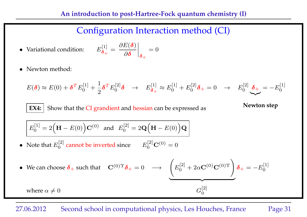• Variational condition:

$$
\frac{\delta^{[1]}_{\bm{\delta}_+}}{\delta\bm{\delta}_+} = \left.\frac{\partial E(\bm{\delta})}{\partial\bm{\delta}}\right|_{\bm{\delta}_+} = 0
$$

• Newton method:

$$
E(\delta) \approx E(0) + \delta^T E_0^{[1]} + \frac{1}{2} \delta^T E_0^{[2]} \delta \rightarrow E_{\delta_+}^{[1]} \approx E_0^{[1]} + E_0^{[2]} \delta_+ = 0 \rightarrow E_0^{[2]} \underbrace{\delta_+}_{\sim} = -E_0^{[1]}
$$

**EX4:** Show that the CI grandient and hessian can be expressed as **Newton step** 

$$
E_0^{[1]} = 2(\mathbf{H} - E(0))\mathbf{C}^{(0)} \text{ and } E_0^{[2]} = 2\mathbf{Q}(\mathbf{H} - E(0))\mathbf{Q}
$$

• Note that  $E_0^{[2]}$  $\int_0^{\lfloor 2 \rfloor}$  cannot be inverted since  $E$ [2]  $0^{[2]}$ **C** $^{(0)} = 0$ 

• We can choose 
$$
\delta_+
$$
 such that  $\mathbf{C}^{(0)T}\delta_+ = 0 \longrightarrow \underbrace{\begin{pmatrix} E_0^{[2]} + 2\alpha \mathbf{C}^{(0)} \mathbf{C}^{(0)T} \end{pmatrix}}_{G_0^{[2]}} \delta_+ = -E_0^{[1]}$   
where  $\alpha \neq 0$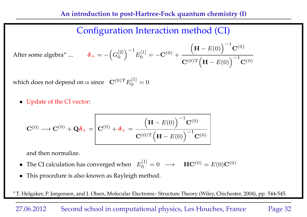After some algebra<sup>\*</sup> ... 
$$
\mathbf{\delta}_{+} = -\left(G_0^{[2]}\right)^{-1} E_0^{[1]} = -\mathbf{C}^{(0)} + \frac{\left(\mathbf{H} - E(0)\right)^{-1} \mathbf{C}^{(0)}}{\mathbf{C}^{(0)T} \left(\mathbf{H} - E(0)\right)^{-1} \mathbf{C}^{(0)}}
$$

which does not depend on  $\alpha$  since  $\quad {\bf C}^{(0)\rm T} E^{[1]}_0$  $\binom{1}{0} = 0$ 

• Update of the CI vector:

$$
\mathbf{C}^{(0)} \longrightarrow \mathbf{C}^{(0)} + \mathbf{Q} \delta_{+} = \boxed{\mathbf{C}^{(0)} + \delta_{+} = \frac{\left(\mathbf{H} - E(0)\right)^{-1} \mathbf{C}^{(0)}}{\mathbf{C}^{(0)} \mathbf{T} \left(\mathbf{H} - E(0)\right)^{-1} \mathbf{C}^{(0)}}}
$$

and then normalize.

- The CI calculation has converged when  $E_0^{[1]}$  $\mathbf{H} \mathbf{C}^{(0)} = E(0) \mathbf{C}^{(0)}$
- This procedure is also known as Rayleigh method.

∗ T. Helgaker, P. Jørgensen, and J. Olsen, Molecular Electronic- Structure Theory (Wiley, Chichester, 2004), pp. 544-545.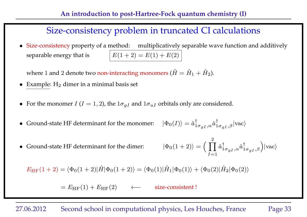• Size-consistency property of a method: multiplicatively separable wave function and additively separable energy that is  $E(1 + 2) = E(1) + E(2)$ 

where 1 and 2 denote two non-interacting monomers  $(\hat{H} = \hat{H}_1 + \hat{H}_2)$ .

- Example:  $H_2$  dimer in a minimal basis set
- For the monomer  $I (I = 1, 2)$ , the  $1 \sigma_{qI}$  and  $1 \sigma_{uI}$  orbitals only are considered.
- $\bullet$  Ground-state HF determinant for the monomer:  $_{1\sigma_{gI},\alpha}\hat{a}_{1\sigma_{gI},\beta}^{\dagger}|{\rm vac}\rangle$
- $\bullet$  Ground-state HF determinant for the dimer:  $(\Pi)$ 2  $I=1$  $\hat{a}^\dagger_{1\sigma_{gI},\alpha}\hat{a}^\dagger_{1\sigma_{gI},\beta}\Big)\vert \text{vac}\rangle$

 $E_{\text{HF}}(1+2) = \langle \Phi_0(1+2)|\hat{H}|\Phi_0(1+2)\rangle = \langle \Phi_0(1)|\hat{H}_1|\Phi_0(1)\rangle + \langle \Phi_0(2)|\hat{H}_2|\Phi_0(2)\rangle$ 

 $= E_{HF}(1) + E_{HF}(2) \qquad \leftarrow$  size-consistent !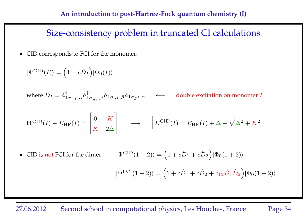• CID corresponds to FCI for the monomer:

$$
|\Psi^{\text{CID}}(I)\rangle = (1 + c\hat{D}_I)|\Phi_0(I)\rangle
$$
  
where  $\hat{D}_I = \hat{a}_{1\sigma_{uI},\alpha}^{\dagger} \hat{a}_{1\sigma_{uI},\beta}^{\dagger} \hat{a}_{1\sigma_{gI},\beta} \hat{a}_{1\sigma_{gI},\alpha} \longleftarrow$  double excitation on monomer *I*  

$$
\mathbf{H}^{\text{CID}}(I) - E_{\text{HF}}(I) = \begin{bmatrix} 0 & K \\ K & 2\Delta \end{bmatrix} \longrightarrow \begin{bmatrix} E^{\text{CID}}(I) = E_{\text{HF}}(I) + \Delta - \sqrt{\Delta^2 + K^2} \end{bmatrix}
$$

• CID is not FCI for the dimer:  $(1+c\hat{D}_1+c\hat{D}_2)|\Phi_0(1+2)\rangle$  $|\Psi^{\text{FCI}}(1+2)\rangle = (1 + c\hat{D}_1 + c\hat{D}_2 + c_{12}\hat{D}_1\hat{D}_2)|\Phi_0(1+2)\rangle$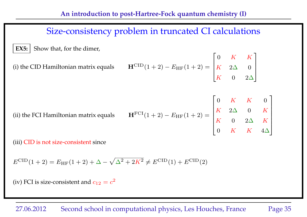**EX5:** Show that, for the dimer,

(i) the CID Hamiltonian matrix equals 
$$
\mathbf{H}^{\text{CID}}(1+2) - E_{\text{HF}}(1+2) = \begin{bmatrix} 0 & K & K \\ K & 2\Delta & 0 \\ K & 0 & 2\Delta \end{bmatrix}
$$

(ii) the FCI Hamiltonian matrix equals  $\mathbf{H}^{\text{FCI}}(1+2) - E_{\text{HF}}(1+2) =$  $\sqrt{ }$  $\perp$  $\overline{1}$  $\perp$  $\overline{1}$  $\perp$  $\overline{1}$  $0\quad K\quad K\quad 0$  $K$  2 $\Delta$  0 K  $K$  0 2 $\Delta$  K  $0\quad K\quad K\quad 4\Delta$ 1  $\overline{1}$  $\overline{1}$  $\overline{1}$  $\overline{1}$  $\mathbf{I}$  $\overline{1}$ 

(iii) CID is not size-consistent since

 $E^{\text{CID}}(1+2) = E_{\text{HF}}(1+2) + \Delta - \sqrt{\Delta^2 + 2K^2} \neq E^{\text{CID}}(1) + E^{\text{CID}}(2)$ 

(iv) FCI is size-consistent and  $c_{12}=c^2$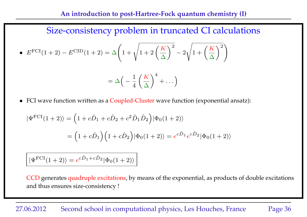• 
$$
E^{FCI}(1+2) - E^{CID}(1+2) = \Delta \left(1 + \sqrt{1 + 2\left(\frac{K}{\Delta}\right)^2} - 2\sqrt{1 + \left(\frac{K}{\Delta}\right)^2}\right)
$$
  
=  $\Delta \left(-\frac{1}{4}\left(\frac{K}{\Delta}\right)^4 + \dots\right)$ 

• FCI wave function written as a Coupled-Cluster wave function (exponential ansatz):

 $4\, \setminus \Delta$ 

$$
|\Psi^{\text{FCI}}(1+2)\rangle = (1 + c\hat{D}_1 + c\hat{D}_2 + c^2\hat{D}_1\hat{D}_2)|\Phi_0(1+2)\rangle
$$
  
=  $(1 + c\hat{D}_1)(1 + c\hat{D}_2)|\Phi_0(1+2)\rangle = e^{c\hat{D}_1}e^{c\hat{D}_2}|\Phi_0(1+2)\rangle$ 

 $|\Psi^{\text{FCI}}(1+2)\rangle = e^{c\hat{D}_1+c\hat{D}_2}|\Phi_0(1+2)\rangle$ 

CCD generates quadruple excitations, by means of the exponential, as products of double excitations and thus ensures size-consistency !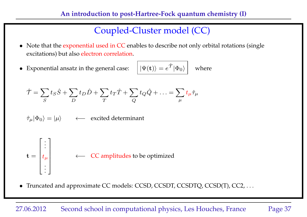# Coupled-Cluster model (CC)

- Note that the exponential used in CC enables to describe not only orbital rotations (single excitations) but also electron correlation.
- $\bullet$  Exponential ansatz in the general case:  $\hat{\tau}_{\ket{\Phi_0}}$  where

$$
\hat{\mathcal{T}} = \sum_{S} t_S \hat{S} + \sum_{D} t_D \hat{D} + \sum_{T} t_T \hat{T} + \sum_{Q} t_Q \hat{Q} + \dots = \sum_{\mu} t_{\mu} \hat{\tau}_{\mu}
$$

$$
\hat{\tau}_{\mu}|\Phi_0\rangle = |\mu\rangle \qquad \leftarrow \text{ excited determinant}
$$

$$
\mathbf{t} = \begin{bmatrix} \vdots \\ t_{\mu} \\ \vdots \end{bmatrix} \leftarrow \mathbf{CC} \text{ amplitudes to be optimized}
$$

• Truncated and approximate CC models: CCSD, CCSDT, CCSDTQ, CCSD(T), CC2, ...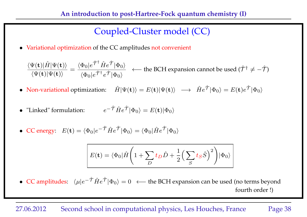# Coupled-Cluster model (CC)

• Variational optimization of the CC amplitudes not convenient

 $\langle \Psi({\bf t})|\hat{H}|\Psi({\bf t})\rangle$  $\langle \Psi({\bf t})|\Psi({\bf t})\rangle$ =  $\langle \Phi_0 | e^{\hat{\mathcal{T}}^\dagger} \hat{H} e^{\hat{\mathcal{T}}} | \Phi_0 \rangle$  $\langle \Phi_0 | e^{\hat{\mathcal{T}}^\dagger} e^{\hat{\mathcal{T}}} | \Phi_0 \rangle$  $\longleftarrow$  the BCH expansion cannot be used ( $\hat{\mathcal{T}}^{\dagger} \neq -\hat{\mathcal{T}}$ )

- Non-variational optimization:  $\hat{H}|\Psi(\mathbf{t})\rangle = E(\mathbf{t})|\Psi(\mathbf{t})\rangle \longrightarrow \hat{H}e^{\hat{\mathcal{T}}}|{\Phi_0}\rangle = E(\mathbf{t})e^{\hat{\mathcal{T}}}|{\Phi_0}\rangle$
- "Linked" formulation:  $e^{-\hat{\mathcal{T}}}\hat{H}e^{\hat{\mathcal{T}}}|\Phi_0\rangle = E(\mathbf{t})|\Phi_0\rangle$
- CC energy:  $E(\mathbf{t}) = \langle \Phi_0 | e^{-\hat{\mathcal{T}}} \hat{H} e^{\hat{\mathcal{T}}} | \Phi_0 \rangle = \langle \Phi_0 | \hat{H} e^{\hat{\mathcal{T}}} | \Phi_0 \rangle$

$$
E(\mathbf{t}) = \langle \Phi_0 | \hat{H} \left( 1 + \sum_D t_D \hat{D} + \frac{1}{2} \left( \sum_S t_S \hat{S} \right)^2 \right) | \Phi_0 \rangle
$$

• CC amplitudes:  $\langle \mu | e^{-\hat{\mathcal{T}}} \hat{H} e^{\hat{\mathcal{T}}} | \Phi_0 \rangle = 0 \iff$  the BCH expansion can be used (no terms beyond fourth order !)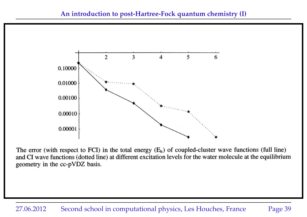

The error (with respect to FCI) in the total energy  $(E_h)$  of coupled-cluster wave functions (full line) and CI wave functions (dotted line) at different excitation levels for the water molecule at the equilibrium geometry in the cc-pVDZ basis.